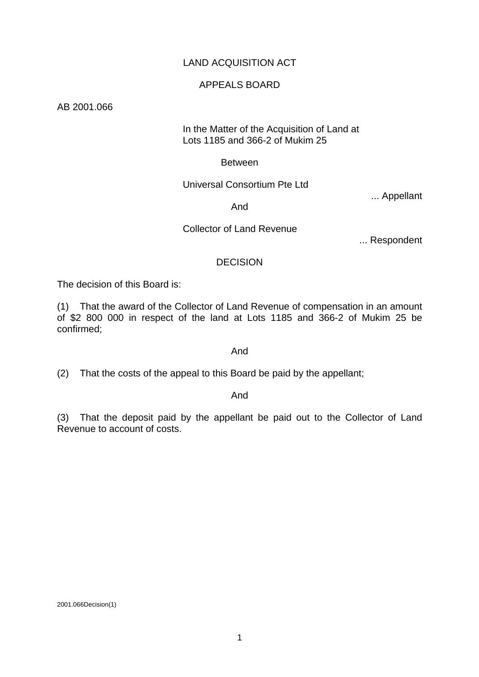## LAND ACQUISITION ACT

## APPEALS BOARD

AB 2001.066

#### In the Matter of the Acquisition of Land at Lots 1185 and 366-2 of Mukim 25

#### Between

## Universal Consortium Pte Ltd

... Appellant

## And

## Collector of Land Revenue

... Respondent

## DECISION

The decision of this Board is:

(1) That the award of the Collector of Land Revenue of compensation in an amount of \$2 800 000 in respect of the land at Lots 1185 and 366-2 of Mukim 25 be confirmed;

#### And

(2) That the costs of the appeal to this Board be paid by the appellant;

#### And

(3) That the deposit paid by the appellant be paid out to the Collector of Land Revenue to account of costs.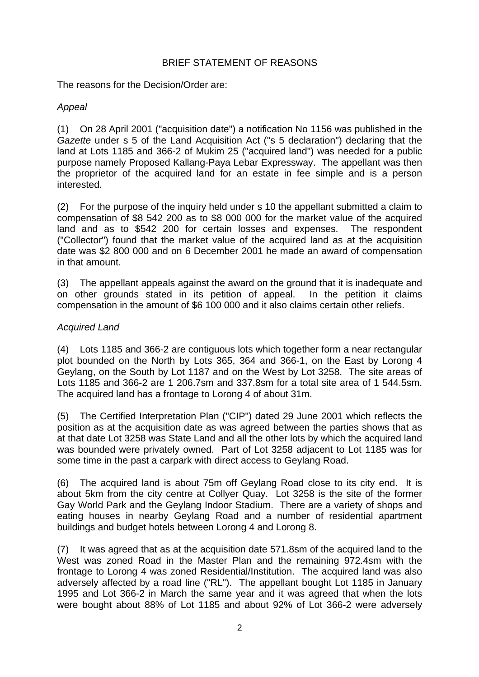## BRIEF STATEMENT OF REASONS

The reasons for the Decision/Order are:

# *Appeal*

(1) On 28 April 2001 ("acquisition date") a notification No 1156 was published in the *Gazette* under s 5 of the Land Acquisition Act ("s 5 declaration") declaring that the land at Lots 1185 and 366-2 of Mukim 25 ("acquired land") was needed for a public purpose namely Proposed Kallang-Paya Lebar Expressway. The appellant was then the proprietor of the acquired land for an estate in fee simple and is a person interested.

(2) For the purpose of the inquiry held under s 10 the appellant submitted a claim to compensation of \$8 542 200 as to \$8 000 000 for the market value of the acquired land and as to \$542 200 for certain losses and expenses. The respondent ("Collector") found that the market value of the acquired land as at the acquisition date was \$2 800 000 and on 6 December 2001 he made an award of compensation in that amount.

(3) The appellant appeals against the award on the ground that it is inadequate and on other grounds stated in its petition of appeal. In the petition it claims compensation in the amount of \$6 100 000 and it also claims certain other reliefs.

## *Acquired Land*

(4) Lots 1185 and 366-2 are contiguous lots which together form a near rectangular plot bounded on the North by Lots 365, 364 and 366-1, on the East by Lorong 4 Geylang, on the South by Lot 1187 and on the West by Lot 3258. The site areas of Lots 1185 and 366-2 are 1 206.7sm and 337.8sm for a total site area of 1 544.5sm. The acquired land has a frontage to Lorong 4 of about 31m.

(5) The Certified Interpretation Plan ("CIP") dated 29 June 2001 which reflects the position as at the acquisition date as was agreed between the parties shows that as at that date Lot 3258 was State Land and all the other lots by which the acquired land was bounded were privately owned. Part of Lot 3258 adjacent to Lot 1185 was for some time in the past a carpark with direct access to Geylang Road.

(6) The acquired land is about 75m off Geylang Road close to its city end. It is about 5km from the city centre at Collyer Quay. Lot 3258 is the site of the former Gay World Park and the Geylang Indoor Stadium. There are a variety of shops and eating houses in nearby Geylang Road and a number of residential apartment buildings and budget hotels between Lorong 4 and Lorong 8.

(7) It was agreed that as at the acquisition date 571.8sm of the acquired land to the West was zoned Road in the Master Plan and the remaining 972.4sm with the frontage to Lorong 4 was zoned Residential/Institution. The acquired land was also adversely affected by a road line ("RL"). The appellant bought Lot 1185 in January 1995 and Lot 366-2 in March the same year and it was agreed that when the lots were bought about 88% of Lot 1185 and about 92% of Lot 366-2 were adversely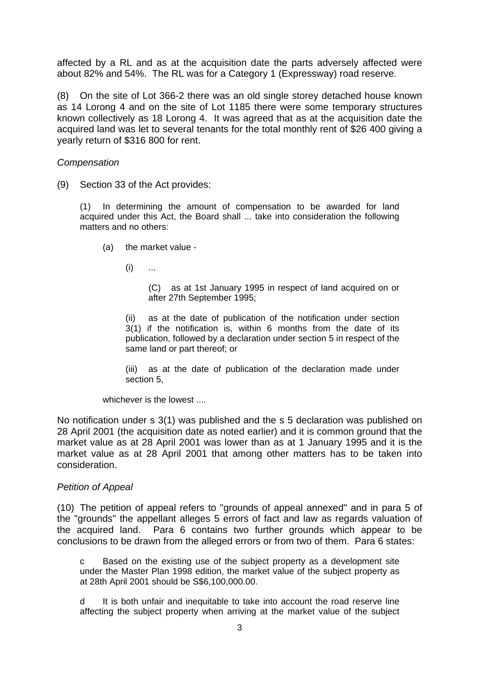affected by a RL and as at the acquisition date the parts adversely affected were about 82% and 54%. The RL was for a Category 1 (Expressway) road reserve.

(8) On the site of Lot 366-2 there was an old single storey detached house known as 14 Lorong 4 and on the site of Lot 1185 there were some temporary structures known collectively as 18 Lorong 4. It was agreed that as at the acquisition date the acquired land was let to several tenants for the total monthly rent of \$26 400 giving a yearly return of \$316 800 for rent.

#### *Compensation*

(9) Section 33 of the Act provides:

(1) In determining the amount of compensation to be awarded for land acquired under this Act, the Board shall ... take into consideration the following matters and no others:

- (a) the market value
	- $(i)$  ...

(C) as at 1st January 1995 in respect of land acquired on or after 27th September 1995;

(ii) as at the date of publication of the notification under section 3(1) if the notification is, within 6 months from the date of its publication, followed by a declaration under section 5 in respect of the same land or part thereof; or

(iii) as at the date of publication of the declaration made under section 5,

whichever is the lowest ....

No notification under s 3(1) was published and the s 5 declaration was published on 28 April 2001 (the acquisition date as noted earlier) and it is common ground that the market value as at 28 April 2001 was lower than as at 1 January 1995 and it is the market value as at 28 April 2001 that among other matters has to be taken into consideration.

#### *Petition of Appeal*

(10) The petition of appeal refers to "grounds of appeal annexed" and in para 5 of the "grounds" the appellant alleges 5 errors of fact and law as regards valuation of the acquired land. Para 6 contains two further grounds which appear to be conclusions to be drawn from the alleged errors or from two of them. Para 6 states:

c Based on the existing use of the subject property as a development site under the Master Plan 1998 edition, the market value of the subject property as at 28th April 2001 should be S\$6,100,000.00.

d It is both unfair and inequitable to take into account the road reserve line affecting the subject property when arriving at the market value of the subject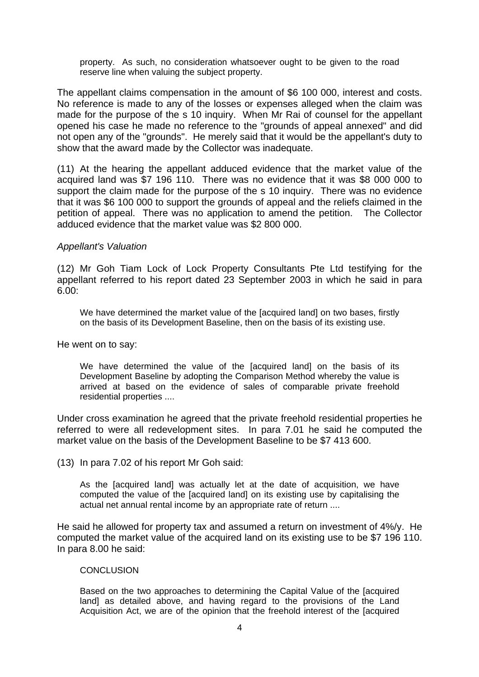property. As such, no consideration whatsoever ought to be given to the road reserve line when valuing the subject property.

The appellant claims compensation in the amount of \$6 100 000, interest and costs. No reference is made to any of the losses or expenses alleged when the claim was made for the purpose of the s 10 inquiry. When Mr Rai of counsel for the appellant opened his case he made no reference to the "grounds of appeal annexed" and did not open any of the "grounds". He merely said that it would be the appellant's duty to show that the award made by the Collector was inadequate.

(11) At the hearing the appellant adduced evidence that the market value of the acquired land was \$7 196 110. There was no evidence that it was \$8 000 000 to support the claim made for the purpose of the s 10 inquiry. There was no evidence that it was \$6 100 000 to support the grounds of appeal and the reliefs claimed in the petition of appeal. There was no application to amend the petition. The Collector adduced evidence that the market value was \$2 800 000.

#### *Appellant's Valuation*

(12) Mr Goh Tiam Lock of Lock Property Consultants Pte Ltd testifying for the appellant referred to his report dated 23 September 2003 in which he said in para 6.00:

We have determined the market value of the [acquired land] on two bases, firstly on the basis of its Development Baseline, then on the basis of its existing use.

He went on to say:

We have determined the value of the [acquired land] on the basis of its Development Baseline by adopting the Comparison Method whereby the value is arrived at based on the evidence of sales of comparable private freehold residential properties ....

Under cross examination he agreed that the private freehold residential properties he referred to were all redevelopment sites. In para 7.01 he said he computed the market value on the basis of the Development Baseline to be \$7 413 600.

(13) In para 7.02 of his report Mr Goh said:

As the [acquired land] was actually let at the date of acquisition, we have computed the value of the [acquired land] on its existing use by capitalising the actual net annual rental income by an appropriate rate of return ....

He said he allowed for property tax and assumed a return on investment of 4%/y. He computed the market value of the acquired land on its existing use to be \$7 196 110. In para 8.00 he said:

#### **CONCLUSION**

Based on the two approaches to determining the Capital Value of the [acquired land] as detailed above, and having regard to the provisions of the Land Acquisition Act, we are of the opinion that the freehold interest of the [acquired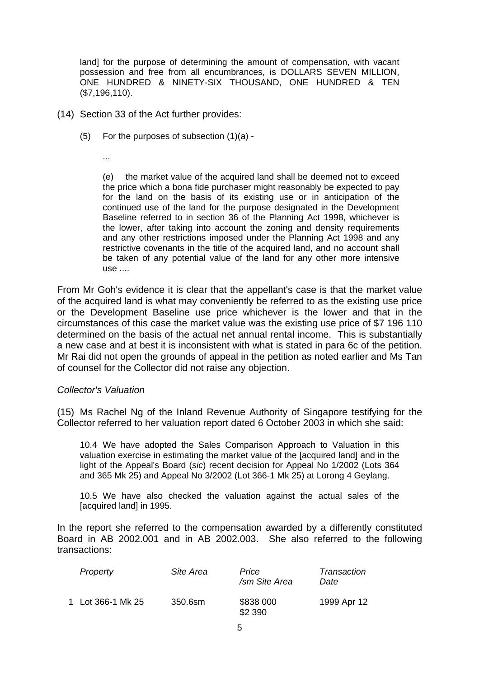land] for the purpose of determining the amount of compensation, with vacant possession and free from all encumbrances, is DOLLARS SEVEN MILLION, ONE HUNDRED & NINETY-SIX THOUSAND, ONE HUNDRED & TEN (\$7,196,110).

- (14) Section 33 of the Act further provides:
	- (5) For the purposes of subsection (1)(a) -

...

(e) the market value of the acquired land shall be deemed not to exceed the price which a bona fide purchaser might reasonably be expected to pay for the land on the basis of its existing use or in anticipation of the continued use of the land for the purpose designated in the Development Baseline referred to in section 36 of the Planning Act 1998, whichever is the lower, after taking into account the zoning and density requirements and any other restrictions imposed under the Planning Act 1998 and any restrictive covenants in the title of the acquired land, and no account shall be taken of any potential value of the land for any other more intensive use ....

From Mr Goh's evidence it is clear that the appellant's case is that the market value of the acquired land is what may conveniently be referred to as the existing use price or the Development Baseline use price whichever is the lower and that in the circumstances of this case the market value was the existing use price of \$7 196 110 determined on the basis of the actual net annual rental income. This is substantially a new case and at best it is inconsistent with what is stated in para 6c of the petition. Mr Rai did not open the grounds of appeal in the petition as noted earlier and Ms Tan of counsel for the Collector did not raise any objection.

#### *Collector's Valuation*

(15) Ms Rachel Ng of the Inland Revenue Authority of Singapore testifying for the Collector referred to her valuation report dated 6 October 2003 in which she said:

10.4 We have adopted the Sales Comparison Approach to Valuation in this valuation exercise in estimating the market value of the [acquired land] and in the light of the Appeal's Board (*sic*) recent decision for Appeal No 1/2002 (Lots 364 and 365 Mk 25) and Appeal No 3/2002 (Lot 366-1 Mk 25) at Lorong 4 Geylang.

10.5 We have also checked the valuation against the actual sales of the [acquired land] in 1995.

In the report she referred to the compensation awarded by a differently constituted Board in AB 2002.001 and in AB 2002.003. She also referred to the following transactions:

| Property          | Site Area | Price<br>/sm Site Area | Transaction<br>Date |
|-------------------|-----------|------------------------|---------------------|
| 1 Lot 366-1 Mk 25 | 350.6sm   | \$838 000<br>\$2 390   | 1999 Apr 12         |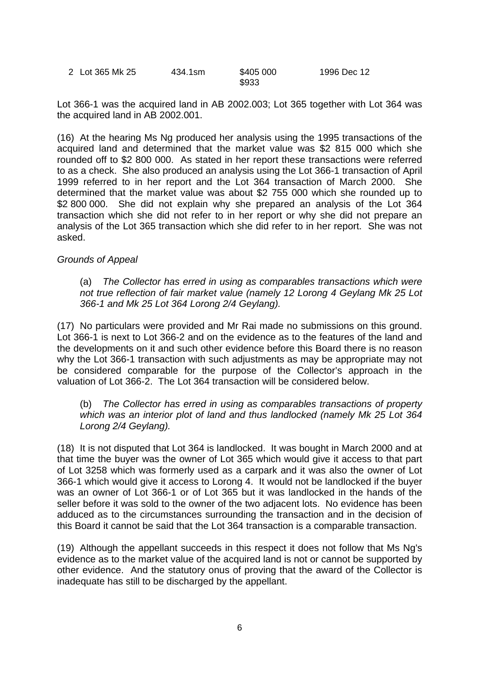| 2 Lot 365 Mk 25 | 434.1sm | \$405 000 | 1996 Dec 12 |
|-----------------|---------|-----------|-------------|
|                 |         | \$933     |             |

Lot 366-1 was the acquired land in AB 2002.003; Lot 365 together with Lot 364 was the acquired land in AB 2002.001.

(16) At the hearing Ms Ng produced her analysis using the 1995 transactions of the acquired land and determined that the market value was \$2 815 000 which she rounded off to \$2 800 000. As stated in her report these transactions were referred to as a check. She also produced an analysis using the Lot 366-1 transaction of April 1999 referred to in her report and the Lot 364 transaction of March 2000. She determined that the market value was about \$2 755 000 which she rounded up to \$2 800 000. She did not explain why she prepared an analysis of the Lot 364 transaction which she did not refer to in her report or why she did not prepare an analysis of the Lot 365 transaction which she did refer to in her report. She was not asked.

#### *Grounds of Appeal*

 (a) *The Collector has erred in using as comparables transactions which were not true reflection of fair market value (namely 12 Lorong 4 Geylang Mk 25 Lot 366-1 and Mk 25 Lot 364 Lorong 2/4 Geylang).*

(17) No particulars were provided and Mr Rai made no submissions on this ground. Lot 366-1 is next to Lot 366-2 and on the evidence as to the features of the land and the developments on it and such other evidence before this Board there is no reason why the Lot 366-1 transaction with such adjustments as may be appropriate may not be considered comparable for the purpose of the Collector's approach in the valuation of Lot 366-2. The Lot 364 transaction will be considered below.

 (b) *The Collector has erred in using as comparables transactions of property which was an interior plot of land and thus landlocked (namely Mk 25 Lot 364 Lorong 2/4 Geylang).*

(18) It is not disputed that Lot 364 is landlocked. It was bought in March 2000 and at that time the buyer was the owner of Lot 365 which would give it access to that part of Lot 3258 which was formerly used as a carpark and it was also the owner of Lot 366-1 which would give it access to Lorong 4. It would not be landlocked if the buyer was an owner of Lot 366-1 or of Lot 365 but it was landlocked in the hands of the seller before it was sold to the owner of the two adjacent lots. No evidence has been adduced as to the circumstances surrounding the transaction and in the decision of this Board it cannot be said that the Lot 364 transaction is a comparable transaction.

(19) Although the appellant succeeds in this respect it does not follow that Ms Ng's evidence as to the market value of the acquired land is not or cannot be supported by other evidence. And the statutory onus of proving that the award of the Collector is inadequate has still to be discharged by the appellant.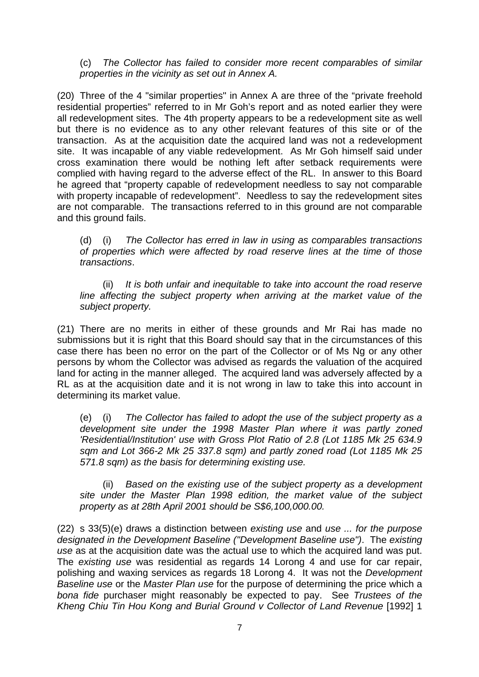(c) *The Collector has failed to consider more recent comparables of similar properties in the vicinity as set out in Annex A.*

(20) Three of the 4 "similar properties" in Annex A are three of the "private freehold residential properties" referred to in Mr Goh's report and as noted earlier they were all redevelopment sites. The 4th property appears to be a redevelopment site as well but there is no evidence as to any other relevant features of this site or of the transaction. As at the acquisition date the acquired land was not a redevelopment site. It was incapable of any viable redevelopment. As Mr Goh himself said under cross examination there would be nothing left after setback requirements were complied with having regard to the adverse effect of the RL. In answer to this Board he agreed that "property capable of redevelopment needless to say not comparable with property incapable of redevelopment". Needless to say the redevelopment sites are not comparable. The transactions referred to in this ground are not comparable and this ground fails.

 (d) (i) *The Collector has erred in law in using as comparables transactions of properties which were affected by road reserve lines at the time of those transactions*.

 (ii) *It is both unfair and inequitable to take into account the road reserve line affecting the subject property when arriving at the market value of the subject property.*

(21) There are no merits in either of these grounds and Mr Rai has made no submissions but it is right that this Board should say that in the circumstances of this case there has been no error on the part of the Collector or of Ms Ng or any other persons by whom the Collector was advised as regards the valuation of the acquired land for acting in the manner alleged. The acquired land was adversely affected by a RL as at the acquisition date and it is not wrong in law to take this into account in determining its market value.

 (e) (i) *The Collector has failed to adopt the use of the subject property as a development site under the 1998 Master Plan where it was partly zoned 'Residential/Institution' use with Gross Plot Ratio of 2.8 (Lot 1185 Mk 25 634.9 sqm and Lot 366-2 Mk 25 337.8 sqm) and partly zoned road (Lot 1185 Mk 25 571.8 sqm) as the basis for determining existing use.*

Based on the existing use of the subject property as a development  *site under the Master Plan 1998 edition, the market value of the subject property as at 28th April 2001 should be S\$6,100,000.00.*

(22) s 33(5)(e) draws a distinction between *existing use* and *use ... for the purpose designated in the Development Baseline ("Development Baseline use")*. The *existing use* as at the acquisition date was the actual use to which the acquired land was put. The *existing use* was residential as regards 14 Lorong 4 and use for car repair, polishing and waxing services as regards 18 Lorong 4. It was not the *Development Baseline use* or the *Master Plan use* for the purpose of determining the price which a *bona fide* purchaser might reasonably be expected to pay. See *Trustees of the Kheng Chiu Tin Hou Kong and Burial Ground v Collector of Land Revenue* [1992] 1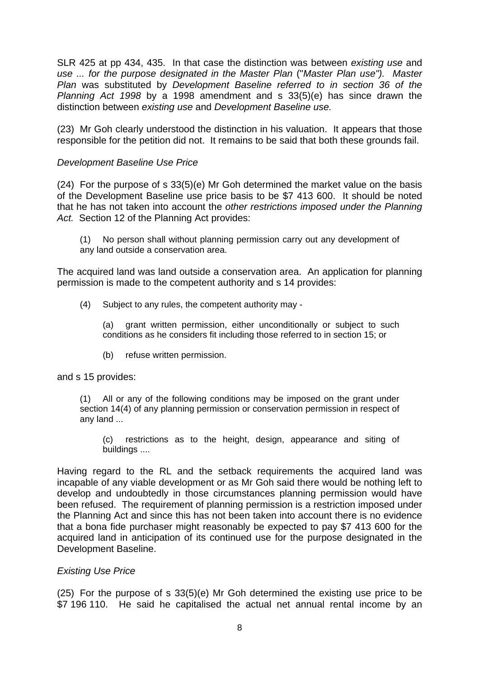SLR 425 at pp 434, 435. In that case the distinction was between *existing use* and *use ... for the purpose designated in the Master Plan* ("*Master Plan use"). Master Plan* was substituted by *Development Baseline referred to in section 36 of the Planning Act 1998* by a 1998 amendment and s 33(5)(e) has since drawn the distinction between *existing use* and *Development Baseline use.*

(23) Mr Goh clearly understood the distinction in his valuation. It appears that those responsible for the petition did not. It remains to be said that both these grounds fail.

## *Development Baseline Use Price*

(24) For the purpose of s 33(5)(e) Mr Goh determined the market value on the basis of the Development Baseline use price basis to be \$7 413 600. It should be noted that he has not taken into account the *other restrictions imposed under the Planning Act.* Section 12 of the Planning Act provides:

(1) No person shall without planning permission carry out any development of any land outside a conservation area.

The acquired land was land outside a conservation area. An application for planning permission is made to the competent authority and s 14 provides:

(4) Subject to any rules, the competent authority may -

 (a) grant written permission, either unconditionally or subject to such conditions as he considers fit including those referred to in section 15; or

(b) refuse written permission.

and s 15 provides:

(1) All or any of the following conditions may be imposed on the grant under section 14(4) of any planning permission or conservation permission in respect of any land ...

 (c) restrictions as to the height, design, appearance and siting of buildings ....

Having regard to the RL and the setback requirements the acquired land was incapable of any viable development or as Mr Goh said there would be nothing left to develop and undoubtedly in those circumstances planning permission would have been refused. The requirement of planning permission is a restriction imposed under the Planning Act and since this has not been taken into account there is no evidence that a bona fide purchaser might reasonably be expected to pay \$7 413 600 for the acquired land in anticipation of its continued use for the purpose designated in the Development Baseline.

## *Existing Use Price*

(25) For the purpose of s 33(5)(e) Mr Goh determined the existing use price to be \$7 196 110. He said he capitalised the actual net annual rental income by an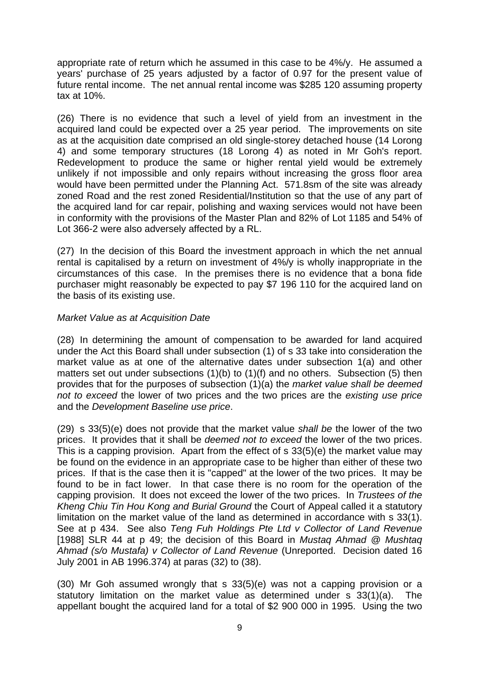appropriate rate of return which he assumed in this case to be 4%/y. He assumed a years' purchase of 25 years adjusted by a factor of 0.97 for the present value of future rental income. The net annual rental income was \$285 120 assuming property tax at 10%.

(26) There is no evidence that such a level of yield from an investment in the acquired land could be expected over a 25 year period. The improvements on site as at the acquisition date comprised an old single-storey detached house (14 Lorong 4) and some temporary structures (18 Lorong 4) as noted in Mr Goh's report. Redevelopment to produce the same or higher rental yield would be extremely unlikely if not impossible and only repairs without increasing the gross floor area would have been permitted under the Planning Act. 571.8sm of the site was already zoned Road and the rest zoned Residential/Institution so that the use of any part of the acquired land for car repair, polishing and waxing services would not have been in conformity with the provisions of the Master Plan and 82% of Lot 1185 and 54% of Lot 366-2 were also adversely affected by a RL.

(27) In the decision of this Board the investment approach in which the net annual rental is capitalised by a return on investment of 4%/y is wholly inappropriate in the circumstances of this case. In the premises there is no evidence that a bona fide purchaser might reasonably be expected to pay \$7 196 110 for the acquired land on the basis of its existing use.

# *Market Value as at Acquisition Date*

(28) In determining the amount of compensation to be awarded for land acquired under the Act this Board shall under subsection (1) of s 33 take into consideration the market value as at one of the alternative dates under subsection 1(a) and other matters set out under subsections (1)(b) to (1)(f) and no others. Subsection (5) then provides that for the purposes of subsection (1)(a) the *market value shall be deemed not to exceed* the lower of two prices and the two prices are the *existing use price* and the *Development Baseline use price*.

(29) s 33(5)(e) does not provide that the market value *shall be* the lower of the two prices. It provides that it shall be *deemed not to exceed* the lower of the two prices. This is a capping provision. Apart from the effect of s 33(5)(e) the market value may be found on the evidence in an appropriate case to be higher than either of these two prices. If that is the case then it is "capped" at the lower of the two prices. It may be found to be in fact lower. In that case there is no room for the operation of the capping provision. It does not exceed the lower of the two prices. In *Trustees of the Kheng Chiu Tin Hou Kong and Burial Ground* the Court of Appeal called it a statutory limitation on the market value of the land as determined in accordance with s 33(1). See at p 434. See also *Teng Fuh Holdings Pte Ltd v Collector of Land Revenue* [1988] SLR 44 at p 49; the decision of this Board in *Mustaq Ahmad @ Mushtaq Ahmad (s/o Mustafa) v Collector of Land Revenue* (Unreported. Decision dated 16 July 2001 in AB 1996.374) at paras (32) to (38).

(30) Mr Goh assumed wrongly that s 33(5)(e) was not a capping provision or a statutory limitation on the market value as determined under s 33(1)(a). The appellant bought the acquired land for a total of \$2 900 000 in 1995. Using the two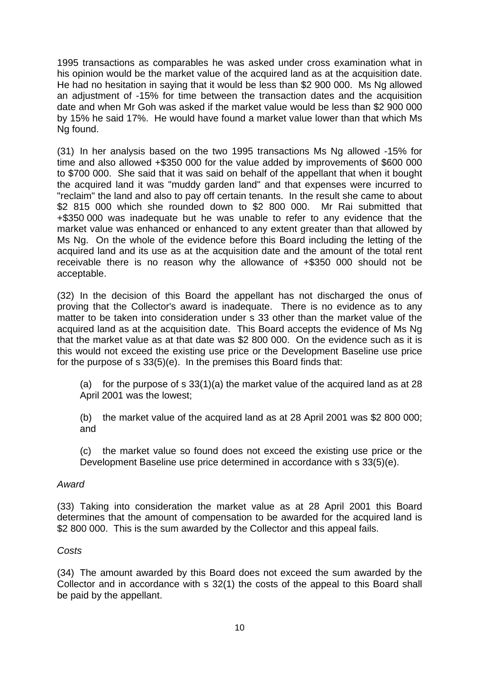1995 transactions as comparables he was asked under cross examination what in his opinion would be the market value of the acquired land as at the acquisition date. He had no hesitation in saying that it would be less than \$2 900 000. Ms Ng allowed an adjustment of -15% for time between the transaction dates and the acquisition date and when Mr Goh was asked if the market value would be less than \$2 900 000 by 15% he said 17%. He would have found a market value lower than that which Ms Ng found.

(31) In her analysis based on the two 1995 transactions Ms Ng allowed -15% for time and also allowed +\$350 000 for the value added by improvements of \$600 000 to \$700 000. She said that it was said on behalf of the appellant that when it bought the acquired land it was "muddy garden land" and that expenses were incurred to "reclaim" the land and also to pay off certain tenants. In the result she came to about \$2 815 000 which she rounded down to \$2 800 000. Mr Rai submitted that +\$350 000 was inadequate but he was unable to refer to any evidence that the market value was enhanced or enhanced to any extent greater than that allowed by Ms Ng. On the whole of the evidence before this Board including the letting of the acquired land and its use as at the acquisition date and the amount of the total rent receivable there is no reason why the allowance of +\$350 000 should not be acceptable.

(32) In the decision of this Board the appellant has not discharged the onus of proving that the Collector's award is inadequate. There is no evidence as to any matter to be taken into consideration under s 33 other than the market value of the acquired land as at the acquisition date. This Board accepts the evidence of Ms Ng that the market value as at that date was \$2 800 000. On the evidence such as it is this would not exceed the existing use price or the Development Baseline use price for the purpose of s 33(5)(e). In the premises this Board finds that:

(a) for the purpose of s  $33(1)(a)$  the market value of the acquired land as at 28 April 2001 was the lowest;

(b) the market value of the acquired land as at 28 April 2001 was \$2 800 000; and

(c) the market value so found does not exceed the existing use price or the Development Baseline use price determined in accordance with s 33(5)(e).

## *Award*

(33) Taking into consideration the market value as at 28 April 2001 this Board determines that the amount of compensation to be awarded for the acquired land is \$2 800 000. This is the sum awarded by the Collector and this appeal fails.

## *Costs*

(34) The amount awarded by this Board does not exceed the sum awarded by the Collector and in accordance with s 32(1) the costs of the appeal to this Board shall be paid by the appellant.